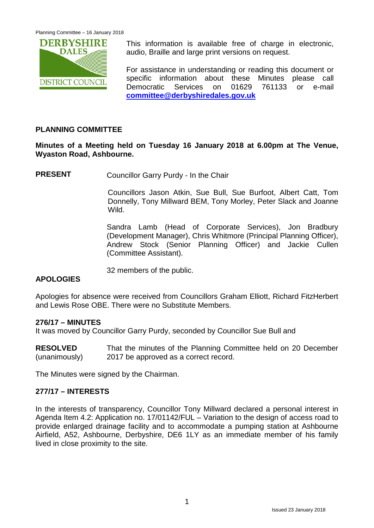

This information is available free of charge in electronic, audio, Braille and large print versions on request.

For assistance in understanding or reading this document or specific information about these Minutes please call Democratic Services on 01629 761133 or e-mail **[committee@derbyshiredales.gov.uk](mailto:committee@derbyshiredales.gov.uk)**

# **PLANNING COMMITTEE**

**Minutes of a Meeting held on Tuesday 16 January 2018 at 6.00pm at The Venue, Wyaston Road, Ashbourne.**

**PRESENT** Councillor Garry Purdy - In the Chair

Councillors Jason Atkin, Sue Bull, Sue Burfoot, Albert Catt, Tom Donnelly, Tony Millward BEM, Tony Morley, Peter Slack and Joanne Wild.

Sandra Lamb (Head of Corporate Services), Jon Bradbury (Development Manager), Chris Whitmore (Principal Planning Officer), Andrew Stock (Senior Planning Officer) and Jackie Cullen (Committee Assistant).

32 members of the public.

# **APOLOGIES**

Apologies for absence were received from Councillors Graham Elliott, Richard FitzHerbert and Lewis Rose OBE. There were no Substitute Members.

# **276/17 – MINUTES**

It was moved by Councillor Garry Purdy, seconded by Councillor Sue Bull and

**RESOLVED** (unanimously) That the minutes of the Planning Committee held on 20 December 2017 be approved as a correct record.

The Minutes were signed by the Chairman.

# **277/17 – INTERESTS**

In the interests of transparency, Councillor Tony Millward declared a personal interest in Agenda Item 4.2: Application no. 17/01142/FUL – Variation to the design of access road to provide enlarged drainage facility and to accommodate a pumping station at Ashbourne Airfield, A52, Ashbourne, Derbyshire, DE6 1LY as an immediate member of his family lived in close proximity to the site.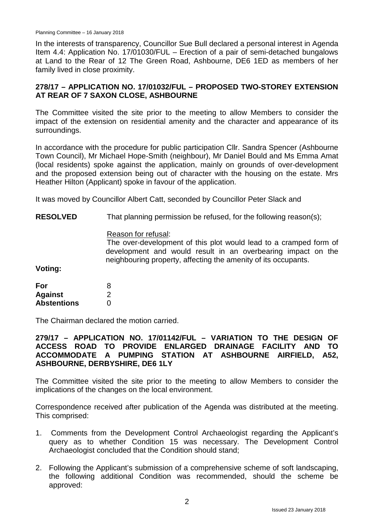Planning Committee – 16 January 2018

In the interests of transparency, Councillor Sue Bull declared a personal interest in Agenda Item 4.4: Application No. 17/01030/FUL – Erection of a pair of semi-detached bungalows at Land to the Rear of 12 The Green Road, Ashbourne, DE6 1ED as members of her family lived in close proximity.

# **278/17 – APPLICATION NO. 17/01032/FUL – PROPOSED TWO-STOREY EXTENSION AT REAR OF 7 SAXON CLOSE, ASHBOURNE**

The Committee visited the site prior to the meeting to allow Members to consider the impact of the extension on residential amenity and the character and appearance of its surroundings.

In accordance with the procedure for public participation Cllr. Sandra Spencer (Ashbourne Town Council), Mr Michael Hope-Smith (neighbour), Mr Daniel Bould and Ms Emma Amat (local residents) spoke against the application, mainly on grounds of over-development and the proposed extension being out of character with the housing on the estate. Mrs Heather Hilton (Applicant) spoke in favour of the application.

It was moved by Councillor Albert Catt, seconded by Councillor Peter Slack and

**RESOLVED** That planning permission be refused, for the following reason(s);

#### Reason for refusal:

The over-development of this plot would lead to a cramped form of development and would result in an overbearing impact on the neighbouring property, affecting the amenity of its occupants.

**Voting:**

| For                | 8 |
|--------------------|---|
| <b>Against</b>     | 2 |
| <b>Abstentions</b> | 0 |

The Chairman declared the motion carried.

# **279/17 – APPLICATION NO. 17/01142/FUL – VARIATION TO THE DESIGN OF ACCESS ROAD TO PROVIDE ENLARGED DRAINAGE FACILITY AND TO ACCOMMODATE A PUMPING STATION AT ASHBOURNE AIRFIELD, A52, ASHBOURNE, DERBYSHIRE, DE6 1LY**

The Committee visited the site prior to the meeting to allow Members to consider the implications of the changes on the local environment.

Correspondence received after publication of the Agenda was distributed at the meeting. This comprised:

- 1. Comments from the Development Control Archaeologist regarding the Applicant's query as to whether Condition 15 was necessary. The Development Control Archaeologist concluded that the Condition should stand;
- 2. Following the Applicant's submission of a comprehensive scheme of soft landscaping, the following additional Condition was recommended, should the scheme be approved: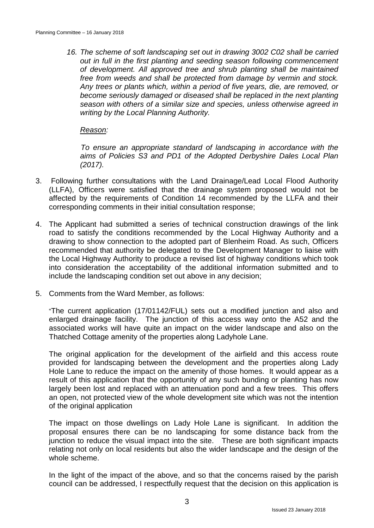*16. The scheme of soft landscaping set out in drawing 3002 C02 shall be carried out in full in the first planting and seeding season following commencement of development. All approved tree and shrub planting shall be maintained free from weeds and shall be protected from damage by vermin and stock. Any trees or plants which, within a period of five years, die, are removed, or become seriously damaged or diseased shall be replaced in the next planting season with others of a similar size and species, unless otherwise agreed in writing by the Local Planning Authority.*

*Reason:*

*To ensure an appropriate standard of landscaping in accordance with the aims of Policies S3 and PD1 of the Adopted Derbyshire Dales Local Plan (2017).*

- 3. Following further consultations with the Land Drainage/Lead Local Flood Authority (LLFA), Officers were satisfied that the drainage system proposed would not be affected by the requirements of Condition 14 recommended by the LLFA and their corresponding comments in their initial consultation response;
- 4. The Applicant had submitted a series of technical construction drawings of the link road to satisfy the conditions recommended by the Local Highway Authority and a drawing to show connection to the adopted part of Blenheim Road. As such, Officers recommended that authority be delegated to the Development Manager to liaise with the Local Highway Authority to produce a revised list of highway conditions which took into consideration the acceptability of the additional information submitted and to include the landscaping condition set out above in any decision;
- 5. Comments from the Ward Member, as follows:

"The current application (17/01142/FUL) sets out a modified junction and also and enlarged drainage facility. The junction of this access way onto the A52 and the associated works will have quite an impact on the wider landscape and also on the Thatched Cottage amenity of the properties along Ladyhole Lane.

The original application for the development of the airfield and this access route provided for landscaping between the development and the properties along Lady Hole Lane to reduce the impact on the amenity of those homes. It would appear as a result of this application that the opportunity of any such bunding or planting has now largely been lost and replaced with an attenuation pond and a few trees. This offers an open, not protected view of the whole development site which was not the intention of the original application

The impact on those dwellings on Lady Hole Lane is significant. In addition the proposal ensures there can be no landscaping for some distance back from the junction to reduce the visual impact into the site. These are both significant impacts relating not only on local residents but also the wider landscape and the design of the whole scheme.

In the light of the impact of the above, and so that the concerns raised by the parish council can be addressed, I respectfully request that the decision on this application is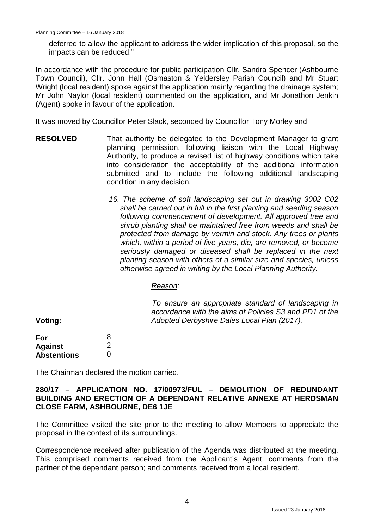deferred to allow the applicant to address the wider implication of this proposal, so the impacts can be reduced."

In accordance with the procedure for public participation Cllr. Sandra Spencer (Ashbourne Town Council), Cllr. John Hall (Osmaston & Yeldersley Parish Council) and Mr Stuart Wright (local resident) spoke against the application mainly regarding the drainage system: Mr John Naylor (local resident) commented on the application, and Mr Jonathon Jenkin (Agent) spoke in favour of the application.

It was moved by Councillor Peter Slack, seconded by Councillor Tony Morley and

- **RESOLVED** That authority be delegated to the Development Manager to grant planning permission, following liaison with the Local Highway Authority, to produce a revised list of highway conditions which take into consideration the acceptability of the additional information submitted and to include the following additional landscaping condition in any decision.
	- *16. The scheme of soft landscaping set out in drawing 3002 C02 shall be carried out in full in the first planting and seeding season following commencement of development. All approved tree and shrub planting shall be maintained free from weeds and shall be protected from damage by vermin and stock. Any trees or plants which, within a period of five years, die, are removed, or become seriously damaged or diseased shall be replaced in the next planting season with others of a similar size and species, unless otherwise agreed in writing by the Local Planning Authority.*

#### *Reason:*

*To ensure an appropriate standard of landscaping in accordance with the aims of Policies S3 and PD1 of the Adopted Derbyshire Dales Local Plan (2017).*

**Voting:**

| For                | 8                 |
|--------------------|-------------------|
| <b>Against</b>     | 2                 |
| <b>Abstentions</b> | $\mathbf{\Omega}$ |

The Chairman declared the motion carried.

#### **280/17 – APPLICATION NO. 17/00973/FUL – DEMOLITION OF REDUNDANT BUILDING AND ERECTION OF A DEPENDANT RELATIVE ANNEXE AT HERDSMAN CLOSE FARM, ASHBOURNE, DE6 1JE**

The Committee visited the site prior to the meeting to allow Members to appreciate the proposal in the context of its surroundings.

Correspondence received after publication of the Agenda was distributed at the meeting. This comprised comments received from the Applicant's Agent; comments from the partner of the dependant person; and comments received from a local resident.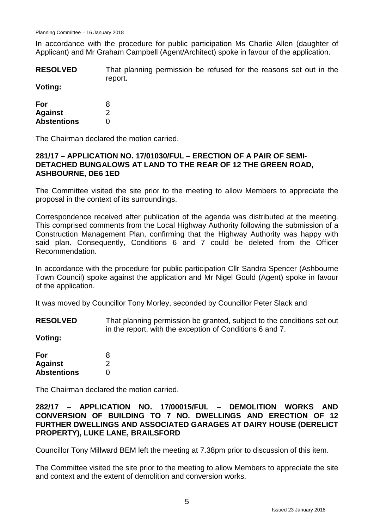In accordance with the procedure for public participation Ms Charlie Allen (daughter of Applicant) and Mr Graham Campbell (Agent/Architect) spoke in favour of the application.

**RESOLVED** That planning permission be refused for the reasons set out in the report.

# **Voting:**

| For                | 8 |
|--------------------|---|
| <b>Against</b>     | 2 |
| <b>Abstentions</b> | O |

The Chairman declared the motion carried.

#### **281/17 – APPLICATION NO. 17/01030/FUL – ERECTION OF A PAIR OF SEMI-DETACHED BUNGALOWS AT LAND TO THE REAR OF 12 THE GREEN ROAD, ASHBOURNE, DE6 1ED**

The Committee visited the site prior to the meeting to allow Members to appreciate the proposal in the context of its surroundings.

Correspondence received after publication of the agenda was distributed at the meeting. This comprised comments from the Local Highway Authority following the submission of a Construction Management Plan, confirming that the Highway Authority was happy with said plan. Consequently, Conditions 6 and 7 could be deleted from the Officer Recommendation.

In accordance with the procedure for public participation Cllr Sandra Spencer (Ashbourne Town Council) spoke against the application and Mr Nigel Gould (Agent) spoke in favour of the application.

It was moved by Councillor Tony Morley, seconded by Councillor Peter Slack and

**RESOLVED** That planning permission be granted, subject to the conditions set out in the report, with the exception of Conditions 6 and 7.

**Voting:**

| For                | 8 |
|--------------------|---|
| <b>Against</b>     | 2 |
| <b>Abstentions</b> | 0 |

The Chairman declared the motion carried.

**282/17 – APPLICATION NO. 17/00015/FUL – DEMOLITION WORKS AND CONVERSION OF BUILDING TO 7 NO. DWELLINGS AND ERECTION OF 12 FURTHER DWELLINGS AND ASSOCIATED GARAGES AT DAIRY HOUSE (DERELICT PROPERTY), LUKE LANE, BRAILSFORD**

Councillor Tony Millward BEM left the meeting at 7.38pm prior to discussion of this item.

The Committee visited the site prior to the meeting to allow Members to appreciate the site and context and the extent of demolition and conversion works.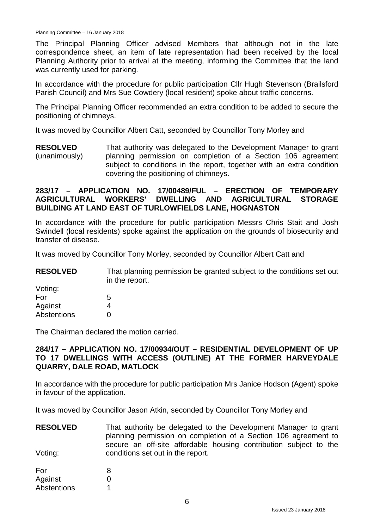The Principal Planning Officer advised Members that although not in the late correspondence sheet, an item of late representation had been received by the local Planning Authority prior to arrival at the meeting, informing the Committee that the land was currently used for parking.

In accordance with the procedure for public participation Cllr Hugh Stevenson (Brailsford Parish Council) and Mrs Sue Cowdery (local resident) spoke about traffic concerns.

The Principal Planning Officer recommended an extra condition to be added to secure the positioning of chimneys.

It was moved by Councillor Albert Catt, seconded by Councillor Tony Morley and

**RESOLVED** (unanimously) That authority was delegated to the Development Manager to grant planning permission on completion of a Section 106 agreement subject to conditions in the report, together with an extra condition covering the positioning of chimneys.

#### **283/17 – APPLICATION NO. 17/00489/FUL – ERECTION OF TEMPORARY AGRICULTURAL WORKERS' DWELLING AND AGRICULTURAL STORAGE BUILDING AT LAND EAST OF TURLOWFIELDS LANE, HOGNASTON**

In accordance with the procedure for public participation Messrs Chris Stait and Josh Swindell (local residents) spoke against the application on the grounds of biosecurity and transfer of disease.

It was moved by Councillor Tony Morley, seconded by Councillor Albert Catt and

**RESOLVED** That planning permission be granted subject to the conditions set out in the report.

| Voting:            |   |
|--------------------|---|
| For                | 5 |
| Against            | 4 |
| <b>Abstentions</b> | O |

The Chairman declared the motion carried.

#### **284/17 – APPLICATION NO. 17/00934/OUT – RESIDENTIAL DEVELOPMENT OF UP TO 17 DWELLINGS WITH ACCESS (OUTLINE) AT THE FORMER HARVEYDALE QUARRY, DALE ROAD, MATLOCK**

In accordance with the procedure for public participation Mrs Janice Hodson (Agent) spoke in favour of the application.

It was moved by Councillor Jason Atkin, seconded by Councillor Tony Morley and

**RESOLVED** Voting: That authority be delegated to the Development Manager to grant planning permission on completion of a Section 106 agreement to secure an off-site affordable housing contribution subject to the conditions set out in the report.

| For         | 8 |
|-------------|---|
| Against     | O |
| Abstentions |   |